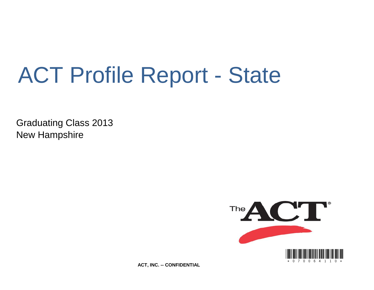# ACT Profile Report - State

Graduating Class 2013 New Hampshire



**ACT, INC. -- CONFIDENTIAL**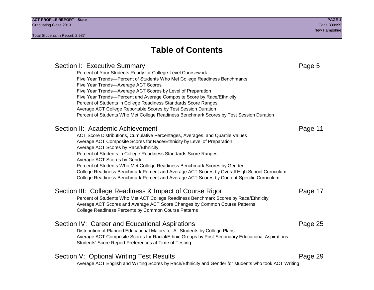## **Table of Contents**

### Section I: Executive Summary **Page 5** and the section I: Executive Summary Percent of Your Students Ready for College-Level Coursework Five Year Trends—Percent of Students Who Met College Readiness Benchmarks Five Year Trends—Average ACT Scores Five Year Trends—Average ACT Scores by Level of Preparation Five Year Trends—Percent and Average Composite Score by Race/Ethnicity Percent of Students in College Readiness Standards Score Ranges Average ACT College Reportable Scores by Test Session Duration Percent of Students Who Met College Readiness Benchmark Scores by Test Session Duration Section II: Academic Achievement **Page 11** Page 11 ACT Score Distributions, Cumulative Percentages, Averages, and Quartile Values Average ACT Composite Scores for Race/Ethnicity by Level of Preparation Average ACT Scores by Race/Ethnicity Percent of Students in College Readiness Standards Score Ranges Average ACT Scores by Gender Percent of Students Who Met College Readiness Benchmark Scores by Gender College Readiness Benchmark Percent and Average ACT Scores by Overall High School Curriculum College Readiness Benchmark Percent and Average ACT Scores by Content-Specific Curriculum Section III: College Readiness & Impact of Course Rigor Page 17 Percent of Students Who Met ACT College Readiness Benchmark Scores by Race/Ethnicity Average ACT Scores and Average ACT Score Changes by Common Course Patterns College Readiness Percents by Common Course Patterns Section IV: Career and Educational Aspirations **Page 25** Page 25 Distribution of Planned Educational Majors for All Students by College Plans Average ACT Composite Scores for Racial/Ethnic Groups by Post-Secondary Educational Aspirations Students' Score Report Preferences at Time of Testing Section V: Optional Writing Test Results **Page 29** Page 29 Average ACT English and Writing Scores by Race/Ethnicity and Gender for students who took ACT Writing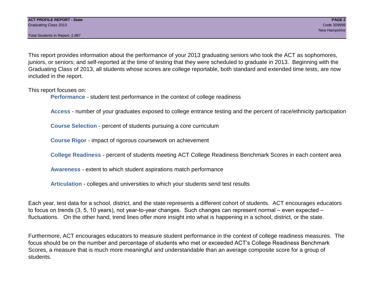Total Students in Report: 2,987

This report provides information about the performance of your 2013 graduating seniors who took the ACT as sophomores, juniors, or seniors; and self-reported at the time of testing that they were scheduled to graduate in 2013. Beginning with the Graduating Class of 2013, all students whose scores are college reportable, both standard and extended time tests, are now included in the report.

This report focuses on:

**Performance** - student test performance in the context of college readiness

**Access** - number of your graduates exposed to college entrance testing and the percent of race/ethnicity participation

**Course Selection** - percent of students pursuing a core curriculum

**Course Rigor** - impact of rigorous coursework on achievement

**College Readiness** - percent of students meeting ACT College Readiness Benchmark Scores in each content area

**Awareness** - extent to which student aspirations match performance

**Articulation** - colleges and universities to which your students send test results

Each year, test data for a school, district, and the state represents a different cohort of students. ACT encourages educators to focus on trends (3, 5, 10 years), not year-to-year changes. Such changes can represent normal – even expected – fluctuations. On the other hand, trend lines offer more insight into what is happening in a school, district, or the state.

Furthermore, ACT encourages educators to measure student performance in the context of college readiness measures. The focus should be on the number and percentage of students who met or exceeded ACT's College Readiness Benchmark Scores, a measure that is much more meaningful and understandable than an average composite score for a group of students.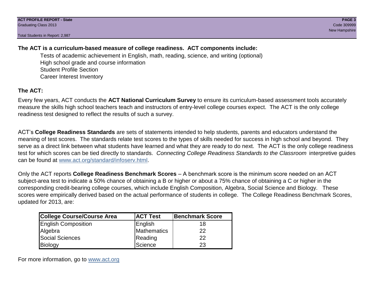Total Students in Report: 2,987

### **The ACT is a curriculum-based measure of college readiness. ACT components include:**

Tests of academic achievement in English, math, reading, science, and writing (optional) High school grade and course information Student Profile Section Career Interest Inventory

### **The ACT:**

Every few years, ACT conducts the **ACT National Curriculum Survey** to ensure its curriculum-based assessment tools accurately measure the skills high school teachers teach and instructors of entry-level college courses expect. The ACT is the only college readiness test designed to reflect the results of such a survey.

ACT's **College Readiness Standards** are sets of statements intended to help students, parents and educators understand the meaning of test scores. The standards relate test scores to the types of skills needed for success in high school and beyond. They serve as a direct link between what students have learned and what they are ready to do next. The ACT is the only college readiness test for which scores can be tied directly to standards. *Connecting College Readiness Standards to the Classroom* interpretive guides can be found at www.act.org/standard/infoserv.html.

Only the ACT reports **College Readiness Benchmark Scores** – A benchmark score is the minimum score needed on an ACT subject-area test to indicate a 50% chance of obtaining a B or higher or about a 75% chance of obtaining a C or higher in the corresponding credit-bearing college courses, which include English Composition, Algebra, Social Science and Biology. These scores were empirically derived based on the actual performance of students in college. The College Readiness Benchmark Scores, updated for 2013, are:

| College Course/Course Area | <b>ACT Test</b> | <b>Benchmark Score</b> |
|----------------------------|-----------------|------------------------|
| <b>English Composition</b> | English         | 18                     |
| Algebra                    | Mathematics     | 22                     |
| <b>Social Sciences</b>     | Reading         | 22                     |
| Biology                    | Science         | 23                     |

For more information, go to www.act.org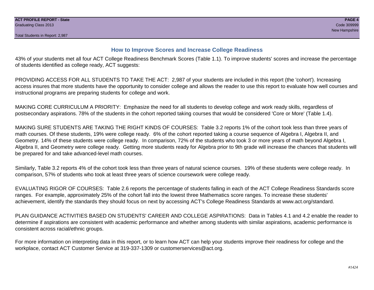#### **How to Improve Scores and Increase College Readiness**

43% of your students met all four ACT College Readiness Benchmark Scores (Table 1.1). To improve students' scores and increase the percentage of students identified as college ready, ACT suggests:

PROVIDING ACCESS FOR ALL STUDENTS TO TAKE THE ACT: 2,987 of your students are included in this report (the 'cohort'). Increasing access insures that more students have the opportunity to consider college and allows the reader to use this report to evaluate how well courses and instructional programs are preparing students for college and work.

MAKING CORE CURRICULUM A PRIORITY: Emphasize the need for all students to develop college and work ready skills, regardless of postsecondary aspirations. 78% of the students in the cohort reported taking courses that would be considered 'Core or More' (Table 1.4).

MAKING SURE STUDENTS ARE TAKING THE RIGHT KINDS OF COURSES: Table 3.2 reports 1% of the cohort took less than three years of math courses. Of these students, 19% were college ready. 6% of the cohort reported taking a course sequence of Algebra I, Algebra II, and Geometry. 14% of these students were college ready. In comparison, 72% of the students who took 3 or more years of math beyond Algebra I, Algebra II, and Geometry were college ready. Getting more students ready for Algebra prior to 9th grade will increase the chances that students will be prepared for and take advanced-level math courses.

Similarly, Table 3.2 reports 4% of the cohort took less than three years of natural science courses. 19% of these students were college ready. In comparison, 57% of students who took at least three years of science coursework were college ready.

EVALUATING RIGOR OF COURSES: Table 2.6 reports the percentage of students falling in each of the ACT College Readiness Standards score ranges. For example, approximately 25% of the cohort fall into the lowest three Mathematics score ranges. To increase these students' achievement, identify the standards they should focus on next by accessing ACT's College Readiness Standards at www.act.org/standard.

PLAN GUIDANCE ACTIVITIES BASED ON STUDENTS' CAREER AND COLLEGE ASPIRATIONS: Data in Tables 4.1 and 4.2 enable the reader to determine if aspirations are consistent with academic performance and whether among students with similar aspirations, academic performance is consistent across racial/ethnic groups.

For more information on interpreting data in this report, or to learn how ACT can help your students improve their readiness for college and the workplace, contact ACT Customer Service at 319-337-1309 or customerservices@act.org.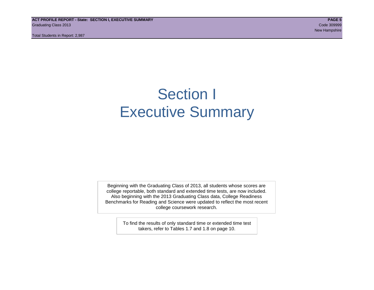**ACT PROFILE REPORT - State: SECTION I, EXECUTIVE SUMMARY PAGE 5** Graduating Class 2013 Code 309999

Total Students in Report: 2,987

## Section I Executive Summary

Beginning with the Graduating Class of 2013, all students whose scores are college reportable, both standard and extended time tests, are now included. Also beginning with the 2013 Graduating Class data, College Readiness Benchmarks for Reading and Science were updated to reflect the most recent college coursework research.

> To find the results of only standard time or extended time test takers, refer to Tables 1.7 and 1.8 on page 10.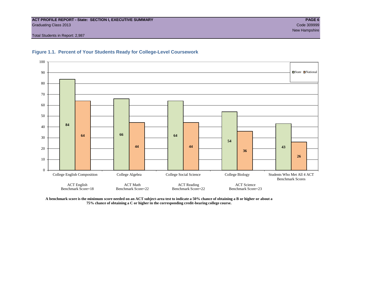#### **ACT PROFILE REPORT - State: SECTION I, EXECUTIVE SUMMARY PAGE 6** Graduating Class 2013 Code 309999

Total Students in Report: 2,987





**A benchmark score is the minimum score needed on an ACT subject-area test to indicate a 50% chance of obtaining a B or higher or about a 75% chance of obtaining a C or higher in the corresponding credit-bearing college course.**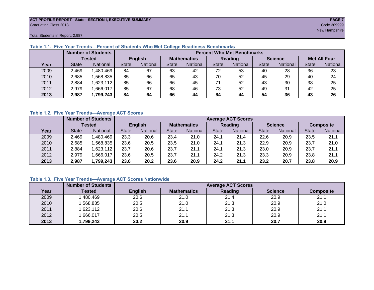#### **ACT PROFILE REPORT - State: SECTION I, EXECUTIVE SUMMARY PAGE 7** Graduating Class 2013 Code 309999

Total Students in Report: 2,987

|      |               | <b>Number of Students</b> | <b>Percent Who Met Benchmarks</b> |                   |                    |          |              |          |                |          |                     |          |  |  |
|------|---------------|---------------------------|-----------------------------------|-------------------|--------------------|----------|--------------|----------|----------------|----------|---------------------|----------|--|--|
|      | <b>Tested</b> |                           | <b>English</b>                    |                   | <b>Mathematics</b> |          | Reading      |          | <b>Science</b> |          | <b>Met All Four</b> |          |  |  |
| Year | <b>State</b>  | <b>National</b>           | <b>State</b>                      | National<br>State |                    | National | <b>State</b> | National |                | National | <b>State</b>        | National |  |  |
| 2009 | 2,469         | ,480,469                  | 84                                | 67                | 63                 | 42       | 72           | 53       | 40             | 28       | 36                  | 23       |  |  |
| 2010 | 2,685         | ,568,835                  | 85                                | 66                | 65                 | 43       | 70           | 52       | 45             | 29       | 40                  | 24       |  |  |
| 2011 | 2,884         | 623,112                   | 85                                | 66                | 66                 | 45       |              | 52       | 43             | 30       | 38                  | 25       |  |  |
| 2012 | 2,979         | .666,017                  | 85                                | 67                | 68                 | 46       | 73           | 52       | 49             | 31       | 42                  | 25       |  |  |
| 2013 | 2,987         | 1,799,243                 | 84                                | 64                | 66                 | 44       | 64           | 44       | 54             | 36       | 43                  | 26       |  |  |

#### **Table 1.1. Five Year Trends—Percent of Students Who Met College Readiness Benchmarks**

#### **Table 1.2. Five Year Trends—Average ACT Scores**

|      |              | <b>Number of Students</b> |                |          |       | <b>Average ACT Scores</b> |              |                 |              |                |                  |          |  |  |  |
|------|--------------|---------------------------|----------------|----------|-------|---------------------------|--------------|-----------------|--------------|----------------|------------------|----------|--|--|--|
|      | Tested       |                           | <b>English</b> |          |       | <b>Mathematics</b>        |              | Reading         |              | <b>Science</b> | <b>Composite</b> |          |  |  |  |
| Year | <b>State</b> | <b>National</b>           | <b>State</b>   | National | State | <b>National</b>           | <b>State</b> | <b>National</b> | <b>State</b> | National       | <b>State</b>     | National |  |  |  |
| 2009 | 2,469        | ,480,469                  | 23.3           | 20.6     | 23.4  | 21.0                      | 24.1         | 21.4            | 22.6         | 20.9           | 23.5             | 21.1     |  |  |  |
| 2010 | 2,685        | .568.835                  | 23.6           | 20.5     | 23.5  | 21.0                      | 24.1         | 21.3            | 22.9         | 20.9           | 23.7             | 21.0     |  |  |  |
| 2011 | 2,884        | .623,112                  | 23.7           | 20.6     | 23.7  | 21.1                      | 24.1         | 21.3            | 23.0         | 20.9           | 23.7             | 21.1     |  |  |  |
| 2012 | 2,979        | ,666,017                  | 23.6           | 20.5     | 23.7  | 21.1                      | 24.2         | 21.3            | 23.3         | 20.9           | 23.8             | 21.1     |  |  |  |
| 2013 | 2,987        | 1,799,243                 | 23.6           | 20.2     | 23.6  | 20.9                      | 24.2         | 21.1            | 23.2         | 20.7           | 23.8             | 20.9     |  |  |  |

#### **Table 1.3. Five Year Trends—Average ACT Scores Nationwide**

|      | <b>Number of Students</b> | <b>Average ACT Scores</b> |                    |         |                |                  |  |  |  |  |  |
|------|---------------------------|---------------------------|--------------------|---------|----------------|------------------|--|--|--|--|--|
| Year | Tested                    | <b>English</b>            | <b>Mathematics</b> | Reading | <b>Science</b> | <b>Composite</b> |  |  |  |  |  |
| 2009 | ,480,469                  | 20.6                      | 21.0               | 21.4    | 20.9           | 21.1             |  |  |  |  |  |
| 2010 | ,568,835                  | 20.5                      | 21.0               | 21.3    | 20.9           | 21.0             |  |  |  |  |  |
| 2011 | ,623,112                  | 20.6                      | 21.1               | 21.3    | 20.9           | 21.1             |  |  |  |  |  |
| 2012 | ,666,017                  | 20.5                      | 21.1               | 21.3    | 20.9           | 21.1             |  |  |  |  |  |
| 2013 | ,799,243                  | 20.2                      | 20.9               | 21.1    | 20.7           | 20.9             |  |  |  |  |  |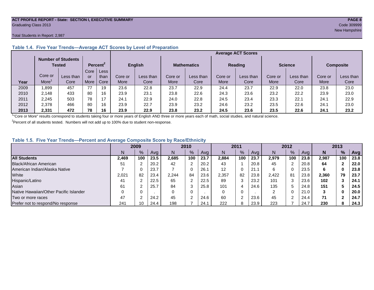## **ACT PROFILE REPORT - State: SECTION I, EXECUTIVE SUMMARY PAGE 8** Graduating Class 2013 Code 309999<br>
New Hampshire

#### Total Students in Report: 2,987

|      |                                                             |           |      |                |             | <b>Average ACT Scores</b> |                    |           |                |           |                |           |                  |           |  |
|------|-------------------------------------------------------------|-----------|------|----------------|-------------|---------------------------|--------------------|-----------|----------------|-----------|----------------|-----------|------------------|-----------|--|
|      | <b>Number of Students</b><br>Percent <sup>2</sup><br>Tested |           |      | <b>English</b> |             |                           | <b>Mathematics</b> |           | <b>Reading</b> |           | <b>Science</b> |           | <b>Composite</b> |           |  |
|      |                                                             |           | Core | Less           |             |                           |                    |           |                |           |                |           |                  |           |  |
|      | Core or                                                     | Less than | or   | than           | Core or     | Less than                 | Core or            | Less than | Core or        | Less than | Core or        | Less than | Core or          | Less than |  |
| Year | More                                                        | Core      | More | Core           | <b>More</b> | Core                      | More               | Core      | More           | Core      | More           | Core      | More             | Core      |  |
| 2009 | .899.                                                       | 457       | 77   | 19             | 23.6        | 22.8                      | 23.7               | 22.9      | 24.4           | 23.7      | 22.9           | 22.0      | 23.8             | 23.0      |  |
| 2010 | 2.148                                                       | 433       | 80   | 16             | 23.9        | 23.1                      | 23.8               | 22.6      | 24.3           | 23.6      | 23.2           | 22.2      | 23.9             | 23.0      |  |
| 2011 | 2,245                                                       | 503       | 78   | 17             | 24.1        | 22.9                      | 24.0               | 22.8      | 24.5           | 23.4      | 23.3           | 22.1      | 24.7             | 22.9      |  |
| 2012 | 2,378                                                       | 466       | 80   | 16             | 23.9        | 22.7                      | 23.9               | 23.2      | 24.6           | 23.2      | 23.5           | 22.6      | 24.1             | 23.0      |  |
| 2013 | 2,331                                                       | 472       | 78   | 16             | 23.9        | 22.9                      | 23.8               | 23.2      | 24.5           | 23.6      | 23.5           | 22.6      | 24.7             | 23.2      |  |

#### **Table 1.4. Five Year Trends—Average ACT Scores by Level of Preparation**

<sup>1</sup>"Core or More" results correspond to students taking four or more years of English AND three or more years each of math, social studies, and natural science.

 $2$ Percent of all students tested. Numbers will not add up to 100% due to student non-response.

#### **Table 1.5. Five Year Trends—Percent and Average Composite Score by Race/Ethnicity**

|                                        | 2009  |     |      |       | 2010          | 2011 |       |     |      | 2012  |     |      | 2013  |     |      |
|----------------------------------------|-------|-----|------|-------|---------------|------|-------|-----|------|-------|-----|------|-------|-----|------|
|                                        | N     | %   | Avg  | N     | $\frac{9}{6}$ | Avg  | N     | %   | Avg  | Ν     | %   | Ava  | N     | %   | Avg  |
| <b>All Students</b>                    | 2.469 | 100 | 23.5 | 2.685 | 100           | 23.7 | 2.884 | 100 | 23.7 | 2.979 | 100 | 23.8 | 2.987 | 100 | 23.8 |
| Black/African American                 | 51    |     | 20.2 | 42    | 2             | 20.2 | 43    |     | 20.8 | 45    | ົ   | 20.8 | 64    |     | 22.0 |
| American Indian/Alaska Native          |       |     | 23.7 |       | 0             | 26.1 | 12    | 0   | 21.1 | 6     |     | 23.5 | 6     | 0   | 23.8 |
| White                                  | 2.021 | 82  | 23.4 | 2,244 | 84            | 23.6 | 2,357 | 82  | 23.8 | 2.422 | 81  | 23.8 | 2,360 | 79  | 23.7 |
| Hispanic/Latino                        | 41    |     | 22.5 | 65    | າ             | 22.5 | 89    | 3   | 23.2 | 101   |     | 23.6 | 102   |     | 24.1 |
| Asian                                  | 61    |     | 25.7 | 84    | 3             | 25.8 | 101   | 4   | 24.6 | 135   | 5   | 24.8 | 151   |     | 24.5 |
| Native Hawaiian/Other Pacific Islander |       |     |      | 0     | 0             |      |       | 0   |      | ົ     |     | 21.0 |       | 0   | 20.0 |
| Two or more races                      | 47    |     | 24.2 | 45    | $\sim$        | 24.6 | 60    | ົ   | 23.6 | 45    |     | 24.4 | 71    | G   | 24.7 |
| Prefer not to respond/No response      | 241   | 10  | 24.4 | 198   |               | 24.1 | 222   | 8   | 23.9 | 223   |     | 24.7 | 230   | 8   | 24.3 |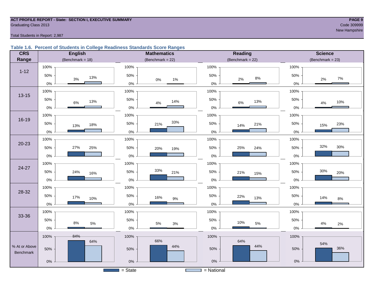#### **ACT PROFILE REPORT - State: SECTION I, EXECUTIVE SUMMARY PAGE 9** Code 309999 Craduating Class 2013

Total Students in Report: 2,987

#### **Table 1.6. Percent of Students in College Readiness Standards Score Ranges**

| <b>CRS</b>       | <b>English</b>      | <b>Mathematics</b>           | Reading             | <b>Science</b>      |
|------------------|---------------------|------------------------------|---------------------|---------------------|
| Range            | (Benchmark = $18$ ) | (Benchmark = $22$ )          | (Benchmark = $22$ ) | $(Benchmark = 23)$  |
|                  | 100%                | 100%                         | 100%                | 100%                |
| $1 - 12$         | 50%<br>13%<br>3%    | 50%<br>$0\%$<br>$1\%$        | 50%<br>$8\%$<br>2%  | 50%<br>$7\%$<br>2%  |
|                  | $0\%$               | $0\%$                        | $0\%$               | $0\%$               |
| $13 - 15$        | 100%                | 100%                         | 100%                | 100%                |
|                  | 50%<br>13%<br>6%    | 50%<br>14%<br>$4\%$          | 50%<br>13%<br>6%    | 50%<br>10%<br>4%    |
|                  | $0\%$               | $0\%$                        | $0\%$               | $0\%$               |
| 16-19            | 100%                | 100%                         | 100%                | 100%                |
|                  | 50%<br>18%<br>13%   | 33%<br>50%<br>21%            | 50%<br>21%<br>14%   | 50%<br>23%<br>15%   |
|                  | $0\%$               | $0\%$                        | $0\%$               | 0%                  |
|                  | 100%                | 100%                         | 100%                | 100%                |
| $20 - 23$        | 27%<br>50%<br>25%   | 50%<br>20%<br>19%            | 50%<br>25%<br>24%   | 32%<br>30%<br>50%   |
|                  | $0\%$               | $0\%$                        | $0\%$               | 0%                  |
|                  | 100%                | 100%                         | 100%                | 100%                |
| 24-27            | 50%<br>24%<br>16%   | 33%<br>50%<br>21%            | 50%<br>21%<br>15%   | 30%<br>50%<br>20%   |
|                  | $0\%$               | $0\%$                        | $0\%$               | 0%                  |
| 28-32            | 100%                | 100%                         | 100%                | 100%                |
|                  | 50%<br>17%<br>10%   | 50%<br>16%<br>$9\%$          | 50%<br>22%<br>13%   | 50%<br>14%<br>$8\%$ |
|                  | $0\%$               | $0\%$                        | $0\%$               | 0%                  |
|                  | 100%                | 100%                         | 100%                | 100%                |
| 33-36            | 50%<br>8%<br>$5\%$  | 50%<br>$5\%$<br>3%           | 50%<br>10%<br>$5\%$ | 50%<br>4%           |
|                  | $0\%$               | $0\%$                        | $0\%$               | $2\%$<br>$0\%$      |
|                  | 84%<br>100%         | 100%                         | 100%                | 100%                |
| % At or Above    | 64%                 | 66%<br>44%                   | 64%<br>44%          | 54%                 |
| <b>Benchmark</b> | 50%                 | 50%                          | 50%                 | 36%<br>50%          |
|                  | $0\%$               | $0\%$                        | $0\%$               | $0\%$               |
|                  |                     | $=$ State<br><b>Contract</b> | $=$ National        |                     |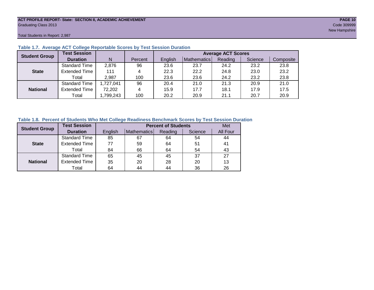#### **ACT PROFILE REPORT- State: SECTION II, ACADEMIC ACHIEVEMENT PAGE 10** Graduating Class 2013 Code 309999

Total Students in Report: 2,987

| <b>Student Group</b> | <b>Test Session</b>  |           |         |         |                    | <b>Average ACT Scores</b> |         |           |
|----------------------|----------------------|-----------|---------|---------|--------------------|---------------------------|---------|-----------|
|                      | <b>Duration</b>      | N         | Percent | English | <b>Mathematics</b> | Reading                   | Science | Composite |
|                      | <b>Standard Time</b> | 2,876     | 96      | 23.6    | 23.7               | 24.2                      | 23.2    | 23.8      |
| <b>State</b>         | <b>Extended Time</b> | 111       | 4       | 22.3    | 22.2               | 24.8                      | 23.0    | 23.2      |
|                      | Total                | 2,987     | 100     | 23.6    | 23.6               | 24.2                      | 23.2    | 23.8      |
|                      | <b>Standard Time</b> | 1,727,041 | 96      | 20.4    | 21.0               | 21.3                      | 20.9    | 21.0      |
| <b>National</b>      | <b>Extended Time</b> | 72,202    | 4       | 15.9    | 17.7               | 18.1                      | 17.9    | 17.5      |
|                      | Total                | ,799,243  | 100     | 20.2    | 20.9               | 21.1                      | 20.7    | 20.9      |

#### **Table 1.7. Average ACT College Reportable Scores by Test Session Duration**

#### **Table 1.8. Percent of Students Who Met College Readiness Benchmark Scores by Test Session Duration**

| <b>Student Group</b> | <b>Test Session</b>  |         | <b>Percent of Students</b> |         |         |          |  |  |  |  |  |
|----------------------|----------------------|---------|----------------------------|---------|---------|----------|--|--|--|--|--|
|                      | <b>Duration</b>      | English | Mathematics                | Reading | Science | All Four |  |  |  |  |  |
|                      | <b>Standard Time</b> | 85      | 67                         | 64      | 54      | 44       |  |  |  |  |  |
| <b>State</b>         | <b>Extended Time</b> | 77      | 59                         | 64      | 51      | 41       |  |  |  |  |  |
|                      | Total                | 84      | 66                         | 64      | 54      | 43       |  |  |  |  |  |
|                      | <b>Standard Time</b> | 65      | 45                         | 45      | 37      | 27       |  |  |  |  |  |
| <b>National</b>      | <b>Extended Time</b> | 35      | 20                         | 28      | 20      | 13       |  |  |  |  |  |
|                      | Total                | 64      | 44                         | 44      | 36      | 26       |  |  |  |  |  |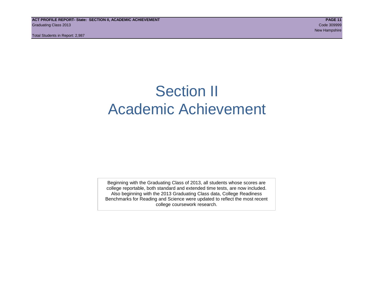## Section II Academic Achievement

Beginning with the Graduating Class of 2013, all students whose scores are college reportable, both standard and extended time tests, are now included. Also beginning with the 2013 Graduating Class data, College Readiness Benchmarks for Reading and Science were updated to reflect the most recent college coursework research.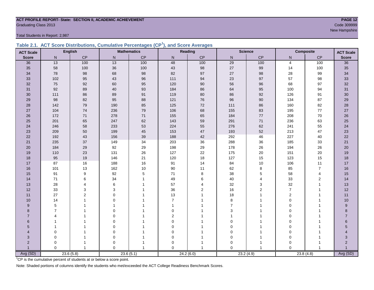## **ACT PROFILE REPORT- State: SECTION II, ACADEMIC ACHIEVEMENT PAGE 12** Code 309999<br>
Code 309999<br>
New Hampshire

Total Students in Report: 2,987

| <b>ACT Scale</b> |                | <b>English</b>    |                 | <b>Mathematics</b> |                | Reading        | <b>Science</b> |                |                | <b>Composite</b> | <b>ACT Scale</b> |
|------------------|----------------|-------------------|-----------------|--------------------|----------------|----------------|----------------|----------------|----------------|------------------|------------------|
| <b>Score</b>     | N              | CP                | $\mathsf{N}$    | CP                 | N              | CP             | N              | CP             | N              | CP               | <b>Score</b>     |
| 36               | 13             | $\frac{100}{100}$ | $\overline{13}$ | 100                | 48             | 100            | 29             | 100            | $\overline{4}$ | 100              | 36               |
| 35               | 58             | 100               | 36              | 100                | 43             | 98             | 27             | 99             | 14             | 100              | 35               |
| 34               | 78             | 98                | 68              | 98                 | 82             | 97             | 27             | 98             | 28             | 99               | 34               |
| 33               | 102            | 95                | 43              | 96                 | 111            | 94             | 23             | 97             | 57             | 98               | 33               |
| 32               | 75             | 92                | 60              | 95                 | 120            | 90             | 56             | 96             | 68             | 97               | 32               |
| 31               | 92             | 89                | $40\,$          | 93                 | 184            | 86             | 64             | 95             | 100            | 94               | 31               |
| 30               | 111            | 86                | 89              | 91                 | 119            | 80             | 86             | 92             | 126            | 91               | $30\,$           |
| 29               | 98             | 82                | 95              | 88                 | 121            | 76             | 96             | $90\,$         | 134            | 87               | 29               |
| 28               | 142            | 79                | 190             | 85                 | 125            | 72             | 111            | 86             | 160            | 82               | 28               |
| 27               | 104            | 74                | 236             | $\bf 79$           | 106            | 68             | 155            | 83             | 195            | $77\,$           | 27               |
| 26               | 172            | 71                | 278             | $71$               | 155            | 65             | 184            | $77\,$         | 208            | $70\,$           | 26               |
| 25               | 201            | 65                | 247             | 62                 | 143            | 59             | 291            | 71             | 236            | 63               | 25               |
| 24               | 246            | 58                | 233             | 53                 | 224            | 55             | 276            | 62             | 241            | 55               | 24               |
| 23               | 209            | 50                | 199             | 45                 | 153            | 47             | 193            | 52             | 213            | 47               | 23               |
| 22               | 192            | 43                | 156             | 39                 | 188            | 42             | 292            | 46             | 227            | 40               | 22               |
| 21               | 235            | 37                | 149             | 34                 | 203            | 36             | 288            | 36             | 185            | 33               | 21               |
| 20               | 184            | 29                | 92              | 29                 | 198            | 29             | 178            | 26             | 194            | 26               | 20               |
| 19               | 110            | 23                | 131             | 26                 | 127            | 22             | 175            | $20\,$         | 151            | 20               | 19               |
| 18               | 95             | 19                | 146             | 21                 | 120            | 18             | 127            | 15             | 123            | 15               | 18               |
| 17               | 87             | 16                | 188             | 16                 | 91             | 14             | 84             | 10             | 106            | 11               | $17$             |
| 16               | 101            | 13                | 162             | 10                 | 90             | 11             | 62             | 8              | 85             | $\overline{7}$   | 16               |
| 15               | 91             | 9                 | 92              | $\mathbf 5$        | $71$           | 8              | 38             | 5              | 58             | $\overline{4}$   | 15               |
| 14               | 71             | 6                 | 34              |                    | 49             | 6              | 40             | 4              | 33             | 2                | 14               |
| 13               | 28             | 4                 | 6               |                    | 57             | 4              | 32             | 3              | 32             | 1                | 13               |
| 12               | 33             | 3                 | 3               |                    | 36             | $\overline{2}$ | 16             | $\overline{2}$ | $\overline{7}$ | 1                | 12               |
| 11               | 27             | $\overline{2}$    | $\Omega$        |                    | 13             |                | 18             | 1              | $\overline{2}$ | 1                | 11               |
| 10               | 14             |                   | $\Omega$        |                    | $\overline{7}$ |                | 8              |                | $\mathbf 0$    | 1                | 10               |
| 9                | 5              |                   |                 |                    | 1              |                | $\overline{7}$ |                | $\mathbf 0$    |                  | $9\phantom{.}$   |
| 8                | $\overline{7}$ |                   | $\Omega$        |                    | $\mathbf 0$    |                | 3              |                | $\mathbf 0$    |                  | 8                |
| $\overline{7}$   | Δ              |                   | $\Omega$        |                    | 2              |                |                |                | $\Omega$       |                  | $\overline{7}$   |
| $6\phantom{1}$   |                |                   | $\Omega$        |                    | 0              |                | $\Omega$       |                | $\mathbf 0$    |                  | 6                |
| 5                |                |                   | $\Omega$        |                    | 0              |                | $\Omega$       |                | $\mathbf 0$    |                  | 5                |
| $\overline{4}$   | $\overline{0}$ |                   | $\pmb{0}$       |                    | 0              |                | 0              |                | $\mathbf 0$    |                  |                  |
| 3                | $\mathbf 0$    |                   | $\mathbf 0$     |                    | 0              |                | $\Omega$       | 1              | $\mathbf 0$    |                  | 3                |
| $\overline{2}$   | 0              |                   | 0               |                    | 0              |                | 0              | -1             | $\mathbf 0$    |                  | $\mathbf 2$      |
| $\overline{1}$   | $\Omega$       | $\mathbf{1}$      | $\Omega$        |                    | $\Omega$       |                | $\Omega$       | $\overline{1}$ | $\Omega$       | $\overline{1}$   | $\mathbf{1}$     |
| Avg (SD)         |                | 23.6(5.8)         |                 | 23.6(5.1)          | 24.2(6.0)      |                | 23.2(4.9)      |                | 23.8(4.8)      |                  | Avg (SD)         |

<sup>1</sup>CP is the cumulative percent of students at or below a score point.

Note: Shaded portions of columns identify the students who met/exceeded the ACT College Readiness Benchmark Scores.

New Hampshire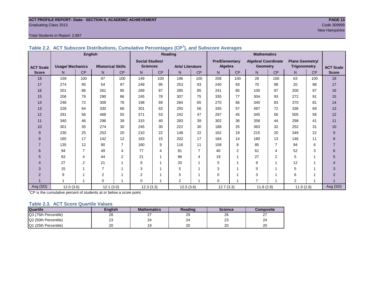## **ACT PROFILE REPORT- State: SECTION II, ACADEMIC ACHIEVEMENT PAGE 13** Graduating Class 2013 Code 309999

#### Total Students in Report: 2,987

|                  | <b>English</b>          |                |                          |                |                        |           | Reading                |                | <b>Mathematics</b> |                                                     |                 |                          |                        |                         |                  |
|------------------|-------------------------|----------------|--------------------------|----------------|------------------------|-----------|------------------------|----------------|--------------------|-----------------------------------------------------|-----------------|--------------------------|------------------------|-------------------------|------------------|
|                  |                         |                |                          |                | <b>Social Studies/</b> |           |                        |                |                    | <b>Pre/Elementary</b><br><b>Algebra/ Coordinate</b> |                 |                          | <b>Plane Geometry/</b> |                         |                  |
| <b>ACT Scale</b> | <b>Usage/ Mechanics</b> |                | <b>Rhetorical Skills</b> |                | <b>Sciences</b>        |           | <b>Arts/Literature</b> |                | Algebra            |                                                     | <b>Geometry</b> |                          | <b>Trigonometry</b>    |                         | <b>ACT Scale</b> |
| <b>Score</b>     | N                       | <b>CP</b>      | N                        | <b>CP</b>      | N                      | <b>CP</b> | N                      | <b>CP</b>      | N                  | <b>CP</b>                                           | N               | <b>CP</b>                | N                      | <b>CP</b>               | <b>Score</b>     |
| 18               | 159                     | 100            | 97                       | 100            | 149                    | 100       | 196                    | 100            | 208                | 100                                                 | 28              | 100                      | 63                     | 100                     | 18               |
| 17               | 274                     | 95             | 54                       | 97             | 249                    | 95        | 253                    | 93             | 240                | 93                                                  | 70              | 99                       | 20                     | 98                      | 17               |
| 16               | 201                     | 86             | 261                      | 95             | 269                    | 87        | 285                    | 85             | 241                | 85                                                  | 100             | 97                       | 200                    | 97                      | 16               |
| 15               | 206                     | 79             | 290                      | 86             | 245                    | 78        | 307                    | 75             | 335                | 77                                                  | 304             | 93                       | 272                    | 91                      | 15               |
| 14               | 248                     | 72             | 309                      | 76             | 198                    | 69        | 284                    | 65             | 270                | 66                                                  | 340             | 83                       | 370                    | 81                      | 14               |
| 13               | 228                     | 64             | 330                      | 66             | 301                    | 63        | 250                    | 56             | 335                | 57                                                  | 487             | 72                       | 336                    | 69                      | 13               |
| 12               | 291                     | 56             | 468                      | 55             | 371                    | 53        | 242                    | 47             | 297                | 45                                                  | 345             | 56                       | 505                    | 58                      | 12               |
| 11               | 340                     | 46             | 296                      | 39             | 315                    | 40        | 283                    | 39             | 302                | 36                                                  | 358             | 44                       | 298                    | 41                      | 11               |
| 10               | 301                     | 35             | 274                      | 30             | 245                    | 30        | 222                    | 30             | 188                | 25                                                  | 363             | 32                       | 252                    | 31                      | 10               |
| 9                | 230                     | 25             | 253                      | 20             | 210                    | 22        | 148                    | 22             | 162                | 19                                                  | 215             | 20                       | 349                    | 22                      | 9                |
| 8                | 165                     | 17             | 142                      | 12             | 163                    | 15        | 202                    | 17             | 184                | 14                                                  | 180             | 13                       | 146                    | 11                      | 8                |
| $\overline{7}$   | 135                     | 12             | 90                       | $\overline{7}$ | 160                    | 9         | 116                    | 11             | 158                | 8                                                   | 85              | $\overline{7}$           | 94                     | 6                       | $\overline{7}$   |
| 6                | 94                      | $\overline{7}$ | 49                       | 4              | 77                     | 4         | 81                     | $\overline{7}$ | 40                 | $\overline{2}$                                      | 61              | 4                        | 52                     | 3                       | 6                |
| 5                | 63                      | 4              | 44                       | 2              | 21                     |           | 86                     | 4              | 19                 | 1                                                   | 27              | 2                        | 5                      | 1                       | 5                |
| 4                | 27                      | 2              | 21                       | 1              | 9                      |           | 20                     | 1              | 5                  | 1                                                   | 9               | 1                        | 12                     | $\overline{\mathbf{A}}$ | 4                |
| 3                | 15                      | $\mathbf 1$    | $\overline{7}$           | 1              | 3                      |           | 5                      | 1              | 3                  | 1                                                   | 5               |                          | 5                      | 1                       | 3                |
| $\overline{2}$   | 9                       | $\overline{ }$ | $\overline{2}$           | $\overline{ }$ | $\overline{2}$         |           | 5                      |                | 0                  | 1                                                   | 3               | 1                        | 6                      |                         | $\overline{2}$   |
|                  |                         | $\overline{ }$ | $\Omega$                 | $\overline{ }$ | $\overline{0}$         |           | $\overline{2}$         |                | $\Omega$           | 1                                                   | $\overline{7}$  | $\overline{\phantom{a}}$ | $\overline{2}$         |                         |                  |
| Avg (SD)         | 12.0(3.6)               |                | 12.1(3.0)                |                | 12.3(3.3)              |           | 12.5(3.6)              |                | 12.7(3.3)          |                                                     | 11.8(2.8)       |                          | 11.9(2.8)              |                         | Avg (SD)         |

**Table 2.2. ACT Subscore Distributions, Cumulative Percentages (CP<sup>1</sup> ), and Subscore Averages**

<sup>1</sup>CP is the cumulative percent of students at or below a score point.

#### **Table 2.3. ACT Score Quartile Values**

| Quartile             | <b>English</b> | <b>Mathematics</b> |          | <b>Science</b> | Composite |
|----------------------|----------------|--------------------|----------|----------------|-----------|
| Q3 (75th Percentile) | 28             | <u>.</u>           | 29       | 26             | - 1       |
| Q2 (50th Percentile) | 23             | 24                 | 24       | nn<br>د∠       | 24        |
| Q1 (25th Percentile) | 20             |                    | nr<br>∠∪ | 20             | 20        |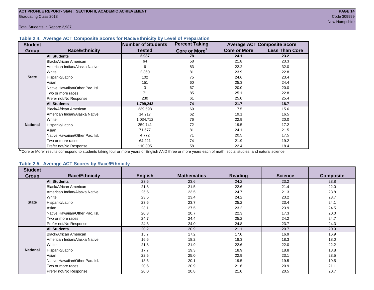Total Students in Report: 2,987

#### **Table 2.4. Average ACT Composite Scores for Race/Ethnicity by Level of Preparation**

| <b>Student</b>  |                                 | <b>Number of Students</b> | <b>Percent Taking</b>     |                     | <b>Average ACT Composite Score</b> |
|-----------------|---------------------------------|---------------------------|---------------------------|---------------------|------------------------------------|
| Group           | <b>Race/Ethnicity</b>           | Tested                    | Core or More <sup>1</sup> | <b>Core or More</b> | <b>Less Than Core</b>              |
|                 | <b>All Students</b>             | 2,987                     | 78                        | 24.1                | 23.2                               |
|                 | <b>Black/African American</b>   | 64                        | 58                        | 21.8                | 23.3                               |
|                 | American Indian/Alaska Native   | 6                         | 83                        | 22.2                | 32.0                               |
|                 | White                           | 2,360                     | 81                        | 23.9                | 22.8                               |
| <b>State</b>    | Hispanic/Latino                 | 102                       | 75                        | 24.6                | 23.4                               |
|                 | Asian                           | 151                       | 60                        | 25.3                | 24.4                               |
|                 | Native Hawaiian/Other Pac. Isl. | 3                         | 67                        | 20.0                | 20.0                               |
|                 | Two or more races               | 71                        | 85                        | 25.1                | 22.8                               |
|                 | Prefer not/No Response          | 230                       | 61                        | 25.0                | 25.4                               |
|                 | <b>All Students</b>             | 1,799,243                 | 74                        | 21.7                | 18.7                               |
|                 | Black/African American          | 239,598                   | 69                        | 17.5                | 15.6                               |
|                 | American Indian/Alaska Native   | 14,217                    | 62                        | 19.1                | 16.5                               |
|                 | White                           | 1,034,712                 | 76                        | 22.9                | 20.0                               |
| <b>National</b> | Hispanic/Latino                 | 259,741                   | 72                        | 19.5                | 17.2                               |
|                 | Asian                           | 71,677                    | 81                        | 24.1                | 21.5                               |
|                 | Native Hawaiian/Other Pac. Isl. | 4,772                     | 71                        | 20.5                | 17.5                               |
|                 | Two or more races               | 64,221                    | 74                        | 21.9                | 19.2                               |
|                 | Prefer not/No Response          | 110,305                   | 58                        | 22.4                | 18.4                               |

<sup>1</sup>"Core or More" results correspond to students taking four or more years of English AND three or more years each of math, social studies, and natural science.

#### **Table 2.5. Average ACT Scores by Race/Ethnicity**

| <b>Student</b>  |                                 |                |                    |                |                |                  |
|-----------------|---------------------------------|----------------|--------------------|----------------|----------------|------------------|
| Group           | <b>Race/Ethnicity</b>           | <b>English</b> | <b>Mathematics</b> | <b>Reading</b> | <b>Science</b> | <b>Composite</b> |
|                 | <b>All Students</b>             | 23.6           | 23.6               | 24.2           | 23.2           | 23.8             |
|                 | Black/African American          | 21.8           | 21.5               | 22.6           | 21.4           | 22.0             |
|                 | American Indian/Alaska Native   | 25.5           | 23.5               | 24.7           | 21.3           | 23.8             |
|                 | White                           | 23.5           | 23.4               | 24.2           | 23.2           | 23.7             |
| <b>State</b>    | Hispanic/Latino                 | 23.6           | 23.7               | 25.2           | 23.4           | 24.1             |
|                 | Asian                           | 23.1           | 27.5               | 23.2           | 23.9           | 24.5             |
|                 | Native Hawaiian/Other Pac. Isl. | 20.3           | 20.7               | 22.3           | 17.3           | 20.0             |
|                 | Two or more races               | 24.7           | 24.4               | 25.2           | 24.2           | 24.7             |
|                 | Prefer not/No Response          | 24.3           | 24.0               | 24.8           | 23.7           | 24.3             |
|                 | <b>All Students</b>             | 20.2           | 20.9               | 21.1           | 20.7           | 20.9             |
|                 | <b>Black/African American</b>   | 15.7           | 17.2               | 17.0           | 16.9           | 16.9             |
|                 | American Indian/Alaska Native   | 16.6           | 18.2               | 18.3           | 18.3           | 18.0             |
|                 | White                           | 21.8           | 21.9               | 22.6           | 22.0           | 22.2             |
| <b>National</b> | Hispanic/Latino                 | 17.7           | 19.3               | 18.9           | 18.8           | 18.8             |
|                 | Asian                           | 22.5           | 25.0               | 22.9           | 23.1           | 23.5             |
|                 | Native Hawaiian/Other Pac. Isl. | 18.6           | 20.1               | 19.5           | 19.5           | 19.5             |
|                 | Two or more races               | 20.6           | 20.9               | 21.6           | 20.9           | 21.1             |
|                 | Prefer not/No Response          | 20.0           | 20.8               | 21.0           | 20.5           | 20.7             |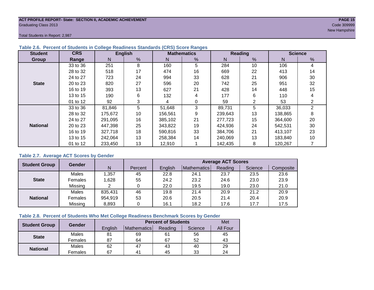## **ACT PROFILE REPORT- State: SECTION II, ACADEMIC ACHIEVEMENT PAGE 15** Graduating Class 2013 Code 309999

New Hampshire ( ) and ( ) and ( ) and ( ) and ( ) and ( ) and ( ) and ( ) and ( ) and ( ) and ( ) and ( ) and (

Total Students in Report: 2,987

| <b>Student</b>  | <b>CRS</b> |         | <b>English</b> |         | <b>Mathematics</b> |         | <b>Reading</b>  |         | <b>Science</b> |
|-----------------|------------|---------|----------------|---------|--------------------|---------|-----------------|---------|----------------|
| Group           | Range      | N.      | %              | N       | %                  | N       | $\frac{9}{6}$   | N       | %              |
|                 | 33 to 36   | 251     | 8              | 160     | 5                  | 284     | 10 <sup>1</sup> | 106     | 4              |
|                 | 28 to 32   | 518     | 17             | 474     | 16                 | 669     | 22              | 413     | 14             |
|                 | 24 to 27   | 723     | 24             | 994     | 33                 | 628     | 21              | 906     | 30             |
| <b>State</b>    | 20 to 23   | 820     | 27             | 596     | 20                 | 742     | 25              | 951     | 32             |
|                 | 16 to 19   | 393     | 13             | 627     | 21                 | 428     | 14              | 448     | 15             |
|                 | 13 to 15   | 190     | 6              | 132     | 4                  | 177     | 6               | 110     | 4              |
|                 | 01 to 12   | 92      | 3              | 4       | 0                  | 59      | 2               | 53      | 2              |
|                 | 33 to 36   | 81,846  | 5              | 51,648  | 3                  | 89,731  | 5               | 36,033  | 2              |
|                 | 28 to 32   | 175,672 | 10             | 156,561 | 9                  | 239,643 | 13              | 138,865 | 8              |
|                 | 24 to 27   | 291.095 | 16             | 385.102 | 21                 | 277,723 | 15              | 364,600 | 20             |
| <b>National</b> | 20 to 23   | 447,398 | 25             | 343,822 | 19                 | 424,936 | 24              | 542,531 | 30             |
|                 | 16 to 19   | 327,718 | 18             | 590,816 | 33                 | 384,706 | 21              | 413,107 | 23             |
|                 | 13 to 15   | 242,064 | 13             | 258.384 | 14                 | 240,069 | 13              | 183,840 | 10             |
|                 | 01 to 12   | 233,450 | 13             | 12,910  |                    | 142,435 | 8               | 120,267 |                |

#### **Table 2.6. Percent of Students in College Readiness Standards (CRS) Score Ranges**

#### **Table 2.7. Average ACT Scores by Gender**

| <b>Student Group</b> | <b>Gender</b> |         |         | <b>Average ACT Scores</b> |             |         |         |           |
|----------------------|---------------|---------|---------|---------------------------|-------------|---------|---------|-----------|
|                      |               | N       | Percent | Enalish                   | Mathematics | Reading | Science | Composite |
|                      | Males         | 1,357   | 45      | 22.8                      | 24.1        | 23.7    | 23.5    | 23.6      |
| <b>State</b>         | Females       | 1,628   | 55      | 24.2                      | 23.2        | 24.6    | 23.0    | 23.9      |
|                      | Missing       |         |         | 22.0                      | 19.5        | 19.0    | 23.0    | 21.0      |
|                      | Males         | 835,431 | 46      | 19.8                      | 21.4        | 20.9    | 21.2    | 20.9      |
| <b>National</b>      | Females       | 954,919 | 53      | 20.6                      | 20.5        | 21.4    | 20.4    | 20.9      |
|                      | Missing       | 8,893   | 0       | 16.1                      | 18.2        | 17.6    | 17.7    | 17.5      |

#### **Table 2.8. Percent of Students Who Met College Readiness Benchmark Scores by Gender**

| <b>Student Group</b> | <b>Gender</b> |         |                    | <b>Percent of Students</b> |         | Met      |
|----------------------|---------------|---------|--------------------|----------------------------|---------|----------|
|                      |               | English | <b>Mathematics</b> | Reading                    | Science | All Four |
| <b>State</b>         | Males         | 81      | 69                 | 61                         | 56      | 45       |
|                      | Females       | 87      | 64                 | 67                         | 52      | 43       |
| <b>National</b>      | <b>Males</b>  | 62      | 47                 | 43                         | 40      | 29       |
|                      | Females       | 67      | 4 <sup>1</sup>     | 45                         | 33      | 24       |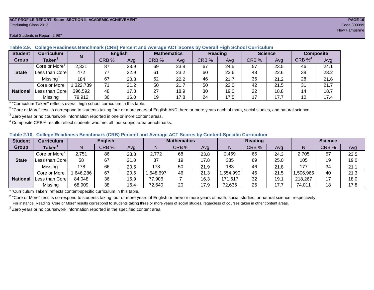#### **ACT PROFILE REPORT- State: SECTION II, ACADEMIC ACHIEVEMENT PAGE 16** Graduating Class 2013 Code 309999

| <b>Student</b>  | <b>Curriculum</b>         | N       | <b>English</b> |      | <b>Mathematics</b> |      | Reading |      | <b>Science</b> |      | <b>Composite</b> |      |
|-----------------|---------------------------|---------|----------------|------|--------------------|------|---------|------|----------------|------|------------------|------|
| Group           | Taken $^{\rm \texttt{1}}$ |         | CRB %          | Avg  | CRB %              | Avg  | CRB %   | Avg  | CRB %          | Ava  | $CRB\%^4$        | Avg  |
|                 | Core or More <sup>2</sup> | 2,331   | 87             | 23.9 | 69                 | 23.8 | 67      | 24.5 | 57             | 23.5 | 46               | 24.1 |
| <b>State</b>    | Less than Core            | 472     | 77             | 22.9 | 61                 | 23.2 | 60      | 23.6 | 48             | 22.6 | 38               | 23.2 |
|                 | Missing <sup>3</sup>      | 184     | 67             | 20.8 | 52                 | 22.2 | 46      | 21.7 | 35             | 21.2 | 28               | 21.6 |
|                 | Core or More              | 322,739 | 71             | 21.2 | 50                 | 21.7 | 50      | 22.0 | 42             | 21.5 | 31               | 21.7 |
| <b>National</b> | Less than Corel           | 396,592 | 48             | 17.8 | 27                 | 18.9 | 30      | 19.0 | 22             | 18.8 | 14               | 18.7 |
|                 | Missing                   | 79,912  | 36             | 16.0 | 19                 | 17.8 | 24      | 17.5 | 17             | 17.7 | 10               | 17.4 |

**Table 2.9. College Readiness Benchmark (CRB) Percent and Average ACT Scores by Overall High School Curriculum**

1 "Curriculum Taken" reflects overall high school curriculum in this table.

 $^2$  "Core or More" results correspond to students taking four or more years of English AND three or more years each of math, social studies, and natural science.

 $3$  Zero years or no coursework information reported in one or more content areas.

 $4$  Composite CRB% results reflect students who met all four subject-area benchmarks.

| Table 2.10. College Readiness Benchmark (CRB) Percent and Average ACT Scores by Content-Specific Curriculum |
|-------------------------------------------------------------------------------------------------------------|
|-------------------------------------------------------------------------------------------------------------|

| <b>Student</b>  | Curriculum                    |          | <b>English</b> |      |         | <b>Mathematics</b> | <b>Reading</b> |          |       |      | <b>Science</b> |       |      |  |
|-----------------|-------------------------------|----------|----------------|------|---------|--------------------|----------------|----------|-------|------|----------------|-------|------|--|
| Group           | $\mathsf{Taken}^{\mathsf{T}}$ |          | CRB %          | Avg  | N       | CRB %              | Avg            | N        | CRB % | Avg  | N              | CRB % | Avg  |  |
|                 | Core or More <sup>2</sup>     | 2,751    | 86             | 23.8 | 2,772   | 68                 | 23.8           | 2,469    | 65    | 24.3 | 2,705          | 57    | 23.5 |  |
| <b>State</b>    | Less than Core                | 58       | 67             | 21.0 | 37      | 19                 | 17.8           | 335      | 69    | 25.0 | 105            | 19    | 19.0 |  |
|                 | Missing <sup>3</sup>          | 178      | 66             | 20.5 | 178     | 50                 | 21.9           | 183      | 46    | 21.8 | 177            | 34    | 21.1 |  |
|                 | Core or More                  | .646,286 | 67             | 20.6 | 648,697 | 46                 | 21.3           | ,554,990 | 46    | 21.5 | ,506,965       | 40    | 21.3 |  |
| <b>National</b> | Less than Core                | 84,048   | 36             | 15.9 | 77,906  |                    | 16.3           | 171,617  | 32    | 19.1 | 218,267        |       | 18.0 |  |
|                 | Missing                       | 68,909   | 38             | 16.4 | 72,640  | 20                 | 17.9           | 72,636   | 25    | 17.7 | 74,011         | 18    | 17.8 |  |

<sup>1</sup>"Curriculum Taken" reflects content-specific curriculum in this table.

<sup>2</sup> "Core or More" results correspond to students taking four or more years of English or three or more years of math, social studies, or natural science, respectively. For instance, Reading "Core or More" results correspond to students taking three or more years of social studies, regardless of courses taken in other content areas.

 $3$  Zero years or no coursework information reported in the specified content area.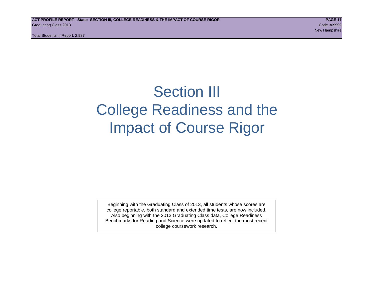Total Students in Report: 2,987

## Section III College Readiness and the Impact of Course Rigor

Beginning with the Graduating Class of 2013, all students whose scores are college reportable, both standard and extended time tests, are now included. Also beginning with the 2013 Graduating Class data, College Readiness Benchmarks for Reading and Science were updated to reflect the most recent college coursework research.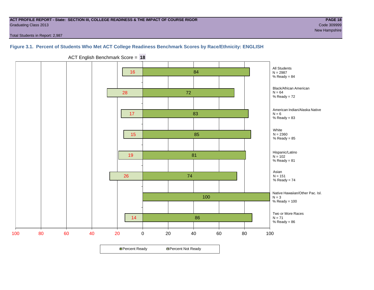#### **ACT PROFILE REPORT - State: SECTION III, COLLEGE READINESS & THE IMPACT OF COURSE RIGOR PAGE 18** Graduating Class 2013 Code 309999

Total Students in Report: 2,987

#### **Figure 3.1. Percent of Students Who Met ACT College Readiness Benchmark Scores by Race/Ethnicity: ENGLISH**



ACT English Benchmark Score = **18**

**□ Percent Ready DPercent Not Ready**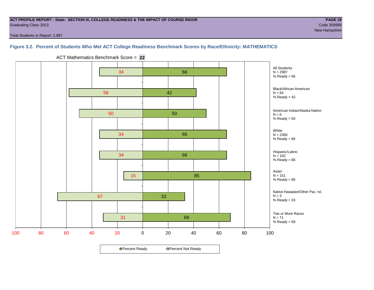#### **ACT PROFILE REPORT - State: SECTION III, COLLEGE READINESS & THE IMPACT OF COURSE RIGOR PAGE 19** Graduating Class 2013 Code 309999

Total Students in Report: 2,987

#### **Figure 3.2. Percent of Students Who Met ACT College Readiness Benchmark Scores by Race/Ethnicity: MATHEMATICS**



ACT Mathematics Benchmark Score = **22**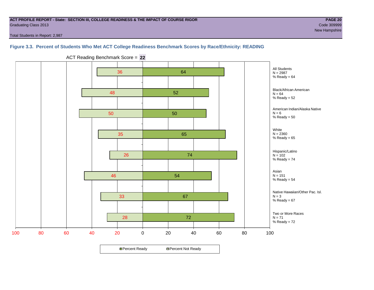#### **ACT PROFILE REPORT - State: SECTION III, COLLEGE READINESS & THE IMPACT OF COURSE RIGOR PAGE 20** Graduating Class 2013 Code 309999

Total Students in Report: 2,987

#### **Figure 3.3. Percent of Students Who Met ACT College Readiness Benchmark Scores by Race/Ethnicity: READING**



ACT Reading Benchmark Score = **22**

**□ Percent Ready DPercent Not Ready**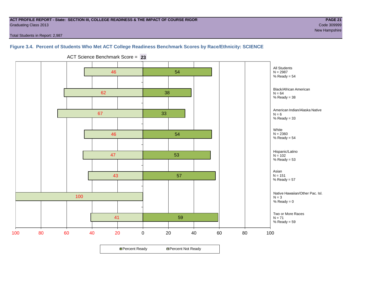#### **ACT PROFILE REPORT - State: SECTION III, COLLEGE READINESS & THE IMPACT OF COURSE RIGOR PAGE 21** Graduating Class 2013 Code 309999

Total Students in Report: 2,987

#### **Figure 3.4. Percent of Students Who Met ACT College Readiness Benchmark Scores by Race/Ethnicity: SCIENCE**



ACT Science Benchmark Score = **23**

**□ Percent Ready DPercent Not Ready**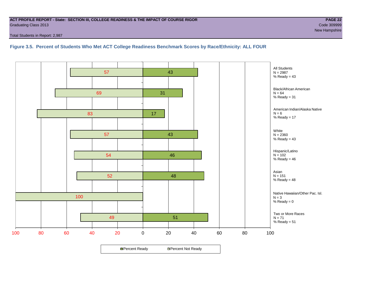#### **ACT PROFILE REPORT - State: SECTION III, COLLEGE READINESS & THE IMPACT OF COURSE RIGOR PAGE 22** Graduating Class 2013 Code 309999

Total Students in Report: 2,987

#### **Figure 3.5. Percent of Students Who Met ACT College Readiness Benchmark Scores by Race/Ethnicity: ALL FOUR**

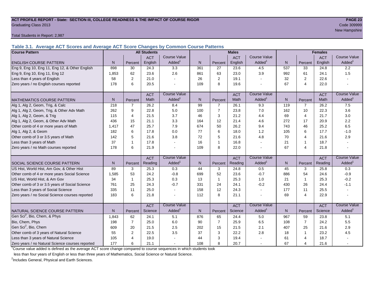#### **ACT PROFILE REPORT - State: SECTION III, COLLEGE READINESS & THE IMPACT OF COURSE RIGOR PAGE 23** Graduating Class 2013 Code 309999

Total Students in Report: 2,987

**Table 3.1. Average ACT Scores and Average ACT Score Changes by Common Course Patterns**

| <b>Course Pattern</b>                            |       |                | <b>All Students</b> |                     |              |                | <b>Males</b> |                          |              |                | <b>Females</b> |                        |
|--------------------------------------------------|-------|----------------|---------------------|---------------------|--------------|----------------|--------------|--------------------------|--------------|----------------|----------------|------------------------|
|                                                  |       |                | <b>ACT</b>          | <b>Course Value</b> |              |                | <b>ACT</b>   | <b>Course Value</b>      |              |                | <b>ACT</b>     | <b>Course Value</b>    |
| <b>ENGLISH COURSE PATTERN</b>                    | N.    | Percent        | English             | Added <sup>1</sup>  | $\mathsf{N}$ | Percent        | English      | Added                    | $\mathsf{N}$ | Percent        | English        | A d d e d <sup>1</sup> |
| Eng 9, Eng 10, Eng 11, Eng 12, & Other English   | 898   | 30             | 24.3                | 3.3                 | 361          | 27             | 23.6         | 4.5                      | 537          | 33             | 24.8           | 2.2                    |
| Eng 9, Eng 10, Eng 11, Eng 12                    | 1.853 | 62             | 23.6                | 2.6                 | 861          | 63             | 23.0         | 3.9                      | 992          | 61             | 24.1           | 1.5                    |
| Less than 4 years of English                     | 58    | $\overline{2}$ | 21.0                |                     | 26           | $\overline{2}$ | 19.1         | $\blacksquare$           | 32           | $\mathbf{2}$   | 22.6           |                        |
| Zero years / no English courses reported         | 178   | 6              | 20.5                |                     | 109          | 8              | 19.6         |                          | 67           | 4              | 22.0           |                        |
|                                                  |       |                | <b>ACT</b>          | <b>Course Value</b> |              |                | <b>ACT</b>   | <b>Course Value</b>      |              |                | <b>ACT</b>     | <b>Course Value</b>    |
| <b>MATHEMATICS COURSE PATTERN</b>                | N.    | Percent        | Math                | Added               | N            | Percent        | Math         | Added <sup>1</sup>       | N            | Percent        | <b>Math</b>    | $A$ dded <sup>1</sup>  |
| Alg 1, Alg 2, Geom, Trig, & Calc                 | 218   | $\overline{7}$ | 26.2                | 8.4                 | 99           | $\overline{7}$ | 26.1         | 9.3                      | 119          | $\overline{7}$ | 26.2           | 7.5                    |
| Alg 1, Alg 2, Geom, Trig, & Other Adv Math       | 262   | 9              | 22.8                | 5.0                 | 100          | $\overline{7}$ | 23.8         | 7.0                      | 162          | 10             | 22.3           | 3.6                    |
| Alg 1, Alg 2, Geom, & Trig                       | 115   | $\overline{4}$ | 21.5                | 3.7                 | 46           | 3              | 21.2         | 4.4                      | 69           | $\overline{4}$ | 21.7           | 3.0                    |
| Alg 1, Alg 2, Geom, & Other Adv Math             | 436   | 15             | 21.1                | 3.3                 | 164          | 12             | 21.4         | 4.6                      | 272          | 17             | 20.9           | 2.2                    |
| Other comb of 4 or more years of Math            | 1.417 | 47             | 25.7                | 7.9                 | 674          | 50             | 26.2         | 9.4                      | 743          | 46             | 25.2           | 6.5                    |
| Alg 1, Alg 2, & Geom                             | 182   | 6              | 17.8                | 0.0                 | 77           | 6              | 18.0         | 1.2                      | 105          | 6              | 17.7           | $-1.0$                 |
| Other comb of 3 or 3.5 years of Math             | 142   | 5              | 21.6                | 3.8                 | 72           | 5              | 21.6         | 4.8                      | 70           | 4              | 21.6           | 2.9                    |
| Less than 3 years of Math                        | 37    |                | 17.8                |                     | 16           | $\overline{1}$ | 16.8         | $\sim$                   | 21           | 1              | 18.7           |                        |
| Zero years / no Math courses reported            | 178   | 6              | 21.9                |                     | 109          | 8              | 22.0         | $\overline{\phantom{a}}$ | 67           | 4              | 21.8           |                        |
|                                                  |       |                | <b>ACT</b>          | <b>Course Value</b> |              |                | <b>ACT</b>   | <b>Course Value</b>      |              |                | <b>ACT</b>     | <b>Course Value</b>    |
| SOCIAL SCIENCE COURSE PATTERN                    | N.    | Percent        | Reading             | Added <sup>1</sup>  | N            | Percent        | Reading      | Added                    | N            | Percent        | Reading        | A d d e d <sup>1</sup> |
| US Hist, World Hist, Am Gov, & Other Hist        | 89    | 3              | 25.3                | 0.3                 | 44           | 3              | 24.8         | 0.5                      | 45           | 3              | 25.8           | 0.3                    |
| Other comb of 4 or more years Social Science     | 1,585 | 53             | 24.2                | $-0.8$              | 699          | 52             | 23.6         | $-0.7$                   | 886          | 54             | 24.6           | $-0.9$                 |
| US Hist, World Hist, & Am Gov                    | 34    | $\mathbf{1}$   | 25.3                | 0.3                 | 13           | $\mathbf{1}$   | 25.3         | 1.0                      | 21           | 1              | 25.3           | $-0.2$                 |
| Other comb of 3 or 3.5 years of Social Science   | 761   | 25             | 24.3                | $-0.7$              | 331          | 24             | 24.1         | $-0.2$                   | 430          | 26             | 24.4           | $-1.1$                 |
| Less than 3 years of Social Science              | 335   | 11             | 25.0                |                     | 158          | 12             | 24.3         | $\sim$                   | 177          | 11             | 25.5           |                        |
| Zero years / no Social Science courses reported  | 183   | 6              | 21.8                |                     | 112          | 8              | 21.1         | $\overline{\phantom{a}}$ | 69           | 4              | 22.9           | $\overline{a}$         |
|                                                  |       |                | <b>ACT</b>          | <b>Course Value</b> |              |                | <b>ACT</b>   | <b>Course Value</b>      |              |                | <b>ACT</b>     | <b>Course Value</b>    |
| <b>INATURAL SCIENCE COURSE PATTERN</b>           | N.    | Percent        | Science             | Added <sup>1</sup>  | N            | Percent        | Science      | Added <sup>1</sup>       | N            | Percent        | Science        | A d d e d <sup>1</sup> |
| Gen Sci <sup>2</sup> , Bio, Chem, & Phys         | 1.843 | 62             | 24.1                | 5.1                 | 876          | 65             | 24.4         | 5.0                      | 967          | 59             | 23.8           | 5.1                    |
| Bio, Chem, Phys                                  | 198   | $\overline{7}$ | 25.0                | 6.0                 | 90           | $\overline{7}$ | 25.9         | 6.5                      | 108          | $\overline{7}$ | 24.2           | 5.5                    |
| Gen Sci <sup>2</sup> , Bio, Chem                 | 609   | 20             | 21.5                | 2.5                 | 202          | 15             | 21.5         | 2.1                      | 407          | 25             | 21.6           | 2.9                    |
| Other comb of 3 years of Natural Science         | 55    | 2              | 22.5                | 3.5                 | 37           | $\sqrt{3}$     | 22.2         | 2.8                      | 18           | $\mathbf{1}$   | 23.2           | 4.5                    |
| Less than 3 years of Natural Science             | 105   | 4              | 19.0                |                     | 44           | 3              | 19.4         |                          | 61           | 4              | 18.7           |                        |
| Zero years / no Natural Science courses reported | 177   | 6              | 21.1                |                     | 108          | 8              | 20.7         | $\sim$                   | 67           | 4              | 21.6           |                        |

<sup>1</sup>Course value added is defined as the average ACT score change compared to course sequences in which students took

less than four years of English or less than three years of Mathematics, Social Science or Natural Science.

<sup>2</sup>Includes General, Physical and Earth Sciences.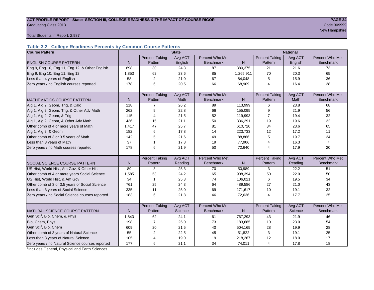## ACT PROFILE REPORT - State: SECTION III, COLLEGE READINESS & THE IMPACT OF COURSE RIGOR **PAGE 24** Graduating Class 2013 Code 309999

New Hampshire (New Hampshire ) and the contract of the contract of the contract of the contract of the contract of the contract of the contract of the contract of the contract of the contract of the contract of the contrac

Total Students in Report: 2,987

#### **Table 3.2. College Readiness Percents by Common Course Patterns**

| <b>Course Pattern</b>                            |              |                       | <b>State</b> |                  | <b>National</b> |                       |         |                  |  |  |
|--------------------------------------------------|--------------|-----------------------|--------------|------------------|-----------------|-----------------------|---------|------------------|--|--|
|                                                  |              | <b>Percent Taking</b> | Avg ACT      | Percent Who Met  |                 | <b>Percent Taking</b> | Avg ACT | Percent Who Met  |  |  |
| <b>ENGLISH COURSE PATTERN</b>                    | $\mathsf{N}$ | Pattern               | English      | <b>Benchmark</b> | ${\sf N}$       | Pattern               | English | <b>Benchmark</b> |  |  |
| Eng 9, Eng 10, Eng 11, Eng 12, & Other English   | 898          | 30                    | 24.3         | 87               | 380,375         | 21                    | 21.6    | 73               |  |  |
| Eng 9, Eng 10, Eng 11, Eng 12                    | 1,853        | 62                    | 23.6         | 85               | 1,265,911       | 70                    | 20.3    | 65               |  |  |
| Less than 4 years of English                     | 58           | 2                     | 21.0         | 67               | 84,048          | 5                     | 15.9    | 36               |  |  |
| Zero years / no English courses reported         | 178          | 6                     | 20.5         | 66               | 68,909          | 4                     | 16.4    | 38               |  |  |
|                                                  |              |                       |              |                  |                 |                       |         |                  |  |  |
|                                                  |              | <b>Percent Taking</b> | Avg ACT      | Percent Who Met  |                 | <b>Percent Taking</b> | Avg ACT | Percent Who Met  |  |  |
| <b>MATHEMATICS COURSE PATTERN</b>                | N            | Pattern               | Math         | <b>Benchmark</b> | $\mathsf{N}$    | Pattern               | Math    | <b>Benchmark</b> |  |  |
| Alg 1, Alg 2, Geom, Trig, & Calc                 | 218          | 7                     | 26.2         | 89               | 113,999         | 6                     | 23.8    | 68               |  |  |
| Alg 1, Alg 2, Geom, Trig, & Other Adv Math       | 262          | 9                     | 22.8         | 66               | 155,095         | 9                     | 21.9    | 56               |  |  |
| Alg 1, Alg 2, Geom, & Trig                       | 115          | 4                     | 21.5         | 52               | 119,993         | 7                     | 19.4    | 32               |  |  |
| Alg 1, Alg 2, Geom, & Other Adv Math             | 436          | 15                    | 21.1         | 50               | 336,291         | 19                    | 19.6    | 32               |  |  |
| Other comb of 4 or more years of Math            | 1,417        | 47                    | 25.7         | 81               | 610,720         | 34                    | 23.6    | 65               |  |  |
| Alg 1, Alg 2, & Geom                             | 182          | 6                     | 17.8         | 14               | 223,733         | 12                    | 17.2    | 11               |  |  |
| Other comb of 3 or 3.5 years of Math             | 142          | 5                     | 21.6         | 49               | 88,866          | 5                     | 19.7    | 34               |  |  |
| Less than 3 years of Math                        | 37           |                       | 17.8         | 19               | 77,906          | 4                     | 16.3    | $\overline{7}$   |  |  |
| Zero years / no Math courses reported            | 178          | 6                     | 21.9         | 50               | 72,640          | 4                     | 17.9    | 20               |  |  |
|                                                  |              |                       |              |                  |                 |                       |         |                  |  |  |
|                                                  |              | <b>Percent Taking</b> | Avg ACT      | Percent Who Met  |                 | <b>Percent Taking</b> | Avg ACT | Percent Who Met  |  |  |
| SOCIAL SCIENCE COURSE PATTERN                    | $\mathsf{N}$ | Pattern               | Reading      | <b>Benchmark</b> | $\mathsf{N}$    | Pattern               | Reading | <b>Benchmark</b> |  |  |
| US Hist, World Hist, Am Gov, & Other Hist        | 89           | 3                     | 25.3         | 70               | 50,989          | 3                     | 22.2    | 51               |  |  |
| Other comb of 4 or more years Social Science     | 1,585        | 53                    | 24.2         | 65               | 908,394         | 50                    | 22.0    | 50               |  |  |
| US Hist, World Hist, & Am Gov                    | 34           | 1                     | 25.3         | 74               | 106,021         | 6                     | 19.5    | 34               |  |  |
| Other comb of 3 or 3.5 years of Social Science   | 761          | 25                    | 24.3         | 64               | 489,586         | 27                    | 21.0    | 43               |  |  |
| Less than 3 years of Social Science              | 335          | 11                    | 25.0         | 69               | 171,617         | 10                    | 19.1    | 32               |  |  |
| Zero years / no Social Science courses reported  | 183          | 6                     | 21.8         | 46               | 72,636          | 4                     | 17.7    | 25               |  |  |
|                                                  |              |                       |              |                  |                 |                       |         |                  |  |  |
|                                                  |              | <b>Percent Taking</b> | Avg ACT      | Percent Who Met  |                 | <b>Percent Taking</b> | Avg ACT | Percent Who Met  |  |  |
| NATURAL SCIENCE COURSE PATTERN                   | N            | Pattern               | Science      | <b>Benchmark</b> | N               | Pattern               | Science | <b>Benchmark</b> |  |  |
| Gen Sci <sup>1</sup> , Bio, Chem, & Phys         | 1,843        | 62                    | 24.1         | 61               | 767,293         | 43                    | 21.9    | 46               |  |  |
| Bio, Chem, Phys                                  | 198          | $\overline{7}$        | 25.0         | 73               | 183,685         | 10                    | 23.0    | 54               |  |  |
| Gen Sci <sup>1</sup> , Bio, Chem                 | 609          | 20                    | 21.5         | 40               | 504,165         | 28                    | 19.9    | 28               |  |  |
| Other comb of 3 years of Natural Science         | 55           | $\overline{2}$        | 22.5         | 45               | 51,822          | 3                     | 19.1    | 25               |  |  |
| Less than 3 years of Natural Science             | 105          | 4                     | 19.0         | 19               | 218,267         | 12                    | 18.0    | 17               |  |  |
| Zero years / no Natural Science courses reported | 177          | 6                     | 21.1         | 34               | 74,011          | 4                     | 17.8    | 18               |  |  |

<sup>1</sup>Includes General, Physical and Earth Sciences.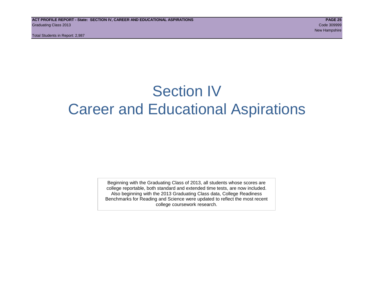Total Students in Report: 2,987

## Section IV Career and Educational Aspirations

Beginning with the Graduating Class of 2013, all students whose scores are college reportable, both standard and extended time tests, are now included. Also beginning with the 2013 Graduating Class data, College Readiness Benchmarks for Reading and Science were updated to reflect the most recent college coursework research.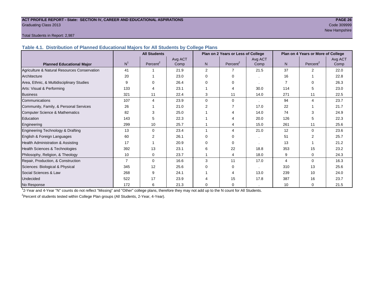#### **ACT PROFILE REPORT - State: SECTION IV, CAREER AND EDUCATIONAL ASPIRATIONS PAGE 26** Graduating Class 2013 Code 309999

New Hampshire (New Hampshire ) and the contract of the contract of the contract of the contract of the contract of the contract of the contract of the contract of the contract of the contract of the contract of the contrac

#### Total Students in Report: 2,987

**Table 4.1. Distribution of Planned Educational Majors for All Students by College Plans**

|                                              |                | <b>All Students</b> |         |          | Plan on 2 Years or Less of College |         | Plan on 4 Years or More of College |                      |         |  |
|----------------------------------------------|----------------|---------------------|---------|----------|------------------------------------|---------|------------------------------------|----------------------|---------|--|
|                                              |                |                     | Avg ACT |          |                                    | Avg ACT |                                    |                      | Avg ACT |  |
| <b>Planned Educational Major</b>             | N <sup>1</sup> | Percent $2$         | Comp    | N        | Percent <sup>2</sup>               | Comp    | N <sub>1</sub>                     | Percent <sup>2</sup> | Comp    |  |
| Agriculture & Natural Resources Conservation | 41             |                     | 21.9    | 2        | 7                                  | 21.5    | 37                                 | $\mathfrak{p}$       | 22.0    |  |
| Architecture                                 | 20             |                     | 23.0    | $\Omega$ | $\Omega$                           |         | 16                                 |                      | 22.8    |  |
| Area, Ethnic, & Multidisciplinary Studies    | 9              | $\Omega$            | 26.4    |          | $\Omega$                           |         |                                    | 0                    | 26.3    |  |
| Arts: Visual & Performing                    | 133            | 4                   | 23.1    |          |                                    | 30.0    | 114                                | 5                    | 23.0    |  |
| <b>Business</b>                              | 321            | 11                  | 22.4    | 3        | 11                                 | 14.0    | 271                                | 11                   | 22.5    |  |
| Communications                               | 107            | 4                   | 23.9    | $\Omega$ | $\Omega$                           |         | 94                                 | 4                    | 23.7    |  |
| Community, Family, & Personal Services       | 26             |                     | 21.0    | 2        |                                    | 17.0    | 22                                 |                      | 21.7    |  |
| <b>Computer Science &amp; Mathematics</b>    | 82             | 3                   | 25.0    |          |                                    | 14.0    | 74                                 | 3                    | 24.9    |  |
| Education                                    | 143            | 5                   | 22.3    |          |                                    | 20.0    | 126                                | 5                    | 22.3    |  |
| Engineering                                  | 299            | 10                  | 25.7    |          |                                    | 15.0    | 261                                | 11                   | 25.6    |  |
| Engineering Technology & Drafting            | 13             | $\Omega$            | 23.4    |          | $\boldsymbol{\Delta}$              | 21.0    | 12                                 | $\Omega$             | 23.6    |  |
| English & Foreign Languages                  | 60             | 2                   | 26.1    | $\Omega$ | $\Omega$                           |         | 51                                 | 2                    | 25.7    |  |
| Health Administration & Assisting            | 17             |                     | 20.9    | $\Omega$ | $\Omega$                           |         | 13                                 |                      | 21.2    |  |
| Health Sciences & Technologies               | 392            | 13                  | 23.1    | 6        | 22                                 | 18.8    | 353                                | 15                   | 23.2    |  |
| Philosophy, Religion, & Theology             | 10             | 0                   | 23.7    |          | 4                                  | 18.0    | 9                                  | $\Omega$             | 24.3    |  |
| Repair, Production, & Construction           |                | $\Omega$            | 16.6    | 3        | 11                                 | 17.0    | $\overline{\mathbf{4}}$            | $\Omega$             | 16.3    |  |
| Sciences: Biological & Physical              | 345            | 12                  | 25.6    |          | $\Omega$                           |         | 310                                | 13                   | 25.6    |  |
| Social Sciences & Law                        | 268            | 9                   | 24.1    |          |                                    | 13.0    | 239                                | 10                   | 24.0    |  |
| Undecided                                    | 522            | 17                  | 23.9    |          | 15                                 | 17.8    | 387                                | 16                   | 23.7    |  |
| No Response                                  | 172            | 6                   | 21.3    | 0        | 0                                  |         | 10                                 | 0                    | 21.5    |  |

1 2-Year and 4-Year "N" counts do not reflect "Missing" and "Other" college plans, therefore they may not add up to the N count for All Students.

<sup>2</sup> Percent of students tested within College Plan groups (All Students, 2-Year, 4-Year).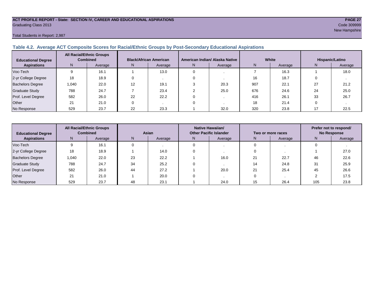## **ACT PROFILE REPORT - State: SECTION IV, CAREER AND EDUCATIONAL ASPIRATIONS PAGE 27** Graduating Class 2013 Code 309999

#### Total Students in Report: 2,987

#### **Table 4.2. Average ACT Composite Scores for Racial/Ethnic Groups by Post-Secondary Educational Aspirations**

| <b>Educational Degree</b> | <b>All Racial/Ethnic Groups</b><br><b>Combined</b> |         | <b>Black/African American</b> |         |    | American Indian/ Alaska Native |     | White   | Hispanic/Latino |         |  |
|---------------------------|----------------------------------------------------|---------|-------------------------------|---------|----|--------------------------------|-----|---------|-----------------|---------|--|
| <b>Aspirations</b>        | N.                                                 | Average | N.                            | Average | N. | Average                        | N.  | Average | N               | Average |  |
| Voc-Tech                  |                                                    | 16.1    |                               | 13.0    |    |                                |     | 16.3    |                 | 18.0    |  |
| 2-yr College Degree       | 18                                                 | 18.9    |                               |         |    |                                | 16  | 18.7    |                 |         |  |
| <b>Bachelors Degree</b>   | 1,040                                              | 22.0    | 12                            | 19.1    |    | 20.3                           | 907 | 22.1    | 27              | 21.2    |  |
| <b>Graduate Study</b>     | 788                                                | 24.7    |                               | 23.4    |    | 25.0                           | 676 | 24.6    | 24              | 25.0    |  |
| Prof. Level Degree        | 582                                                | 26.0    | 22                            | 22.2    |    |                                | 416 | 26.1    | 33              | 26.7    |  |
| Other                     | 21                                                 | 21.0    |                               |         |    |                                | 18  | 21.4    |                 |         |  |
| No Response               | 529                                                | 23.7    | 22                            | 23.3    |    | 32.0                           | 320 | 23.8    |                 | 22.5    |  |

| <b>Educational Degree</b> | <b>All Racial/Ethnic Groups</b><br><b>Combined</b> |         | Asian |         |              | <b>Native Hawaiian/</b><br><b>Other Pacific Islander</b> |           | Two or more races | Prefer not to respond/<br><b>No Response</b> |         |  |
|---------------------------|----------------------------------------------------|---------|-------|---------|--------------|----------------------------------------------------------|-----------|-------------------|----------------------------------------------|---------|--|
| <b>Aspirations</b>        | N                                                  | Average | N     | Average | Average<br>N |                                                          | N         | Average           | N                                            | Average |  |
| Voc-Tech                  |                                                    | 16.1    |       |         |              |                                                          |           |                   |                                              |         |  |
| 2-yr College Degree       | 18                                                 | 18.9    |       | 14.0    |              |                                                          |           |                   |                                              | 27.0    |  |
| <b>Bachelors Degree</b>   | 1,040                                              | 22.0    | 23    | 22.2    |              | 16.0                                                     | 21        | 22.7              | 46                                           | 22.6    |  |
| Graduate Study            | 788                                                | 24.7    | 34    | 25.2    |              |                                                          | 14        | 24.8              | 31                                           | 25.9    |  |
| Prof. Level Degree        | 582                                                | 26.0    | 44    | 27.2    |              | 20.0                                                     | 21<br>∠ ا | 25.4              | 45                                           | 26.6    |  |
| Other                     | 21                                                 | 21.0    |       | 20.0    |              |                                                          |           |                   |                                              | 17.5    |  |
| No Response               | 529                                                | 23.7    | 48    | 23.1    |              | 24.0                                                     | 15        | 26.4              | 105                                          | 23.8    |  |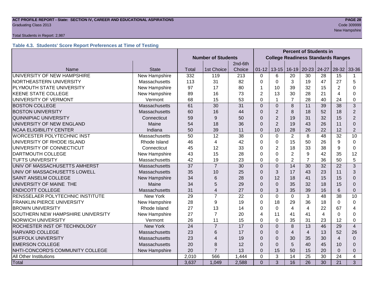## **ACT PROFILE REPORT - State: SECTION IV, CAREER AND EDUCATIONAL ASPIRATIONS PAGE 28** Graduating Class 2013 Code 309999

#### Total Students in Report: 2,987

#### **Table 4.3. Students' Score Report Preferences at Time of Testing**

|                                          |                      |                           |                                           |         | <b>Percent of Students in</b> |                |                |                   |                         |                 |                         |
|------------------------------------------|----------------------|---------------------------|-------------------------------------------|---------|-------------------------------|----------------|----------------|-------------------|-------------------------|-----------------|-------------------------|
|                                          |                      | <b>Number of Students</b> | <b>College Readiness Standards Ranges</b> |         |                               |                |                |                   |                         |                 |                         |
|                                          |                      |                           |                                           | 2nd-6th |                               |                |                |                   |                         |                 |                         |
| Name                                     | <b>State</b>         | Total                     | 1st Choice                                | Choice  | $01 - 12$                     | $13 - 15$      |                | 16-19 20-23 24-27 |                         | 28-32           | 33-36                   |
| UNIVERSITY OF NEW HAMPSHIRE              | New Hampshire        | 332                       | 119                                       | 213     | $\Omega$                      | 6              | 20             | 30                | 28                      | 15              |                         |
| NORTHEASTERN UNIVERSITY                  | <b>Massachusetts</b> | 113                       | 31                                        | 82      | $\Omega$                      | 0              | 3              | 19                | 47                      | 27              | 5                       |
| PLYMOUTH STATE UNIVERSITY                | New Hampshire        | 97                        | 17                                        | 80      | $\mathbf 1$                   | 10             | 39             | 32                | 15                      | $\overline{2}$  | $\Omega$                |
| <b>KEENE STATE COLLEGE</b>               | New Hampshire        | 89                        | 16                                        | 73      | $\overline{2}$                | 13             | 30             | 28                | 21                      | 4               | 0                       |
| UNIVERSITY OF VERMONT                    | Vermont              | 68                        | 15                                        | 53      | $\mathbf 0$                   | $\mathbf{1}$   | $\overline{7}$ | 28                | 40                      | 24              | 0                       |
| <b>BOSTON COLLEGE</b>                    | <b>Massachusetts</b> | 61                        | 30                                        | 31      | $\Omega$                      | $\overline{0}$ | 8              | 11                | 39                      | 38              | 3                       |
| <b>BOSTON UNIVERSITY</b>                 | Massachusetts        | 60                        | 16                                        | 44      | $\mathbf{0}$                  | $\overline{2}$ | 8              | 18                | 52                      | 18              | $\overline{2}$          |
| <b>QUINNIPIAC UNIVERSITY</b>             | Connecticut          | 59                        | 9                                         | 50      | $\Omega$                      | $\overline{2}$ | 19             | 31                | 32                      | 15              | $\overline{2}$          |
| UNIVERSITY OF NEW ENGLAND                | Maine                | 54                        | 18                                        | 36      | $\overline{0}$                | $\overline{2}$ | 19             | 43                | 26                      | 11              | $\Omega$                |
| <b>NCAA ELIGIBILITY CENTER</b>           | Indiana              | 50                        | 39                                        | 11      | $\mathbf 0$                   | 10             | 28             | 26                | 22                      | 12              | $\overline{2}$          |
| <b>WORCESTER POLYTECHNIC INST</b>        | <b>Massachusetts</b> | 50                        | $\overline{12}$                           | 38      | $\mathbf 0$                   | $\overline{0}$ | $\overline{2}$ | 8                 | 48                      | 32              | 10                      |
| UNIVERSITY OF RHODE ISLAND               | Rhode Island         | 46                        | 4                                         | 42      | $\Omega$                      | $\Omega$       | 15             | 50                | 26                      | 9               | 0                       |
| UNIVERSITY OF CONNECTICUT                | Connecticut          | 45                        | 12                                        | 33      | $\mathbf 0$                   | $\overline{2}$ | 18             | 33                | 38                      | 9               | 0                       |
| <b>DARTMOUTH COLLEGE</b>                 | New Hampshire        | 43                        | 15                                        | 28      | $\Omega$                      | 0              | $\overline{2}$ | 9                 | 42                      | 35              | 12                      |
| <b>TUFTS UNIVERSITY</b>                  | <b>Massachusetts</b> | 42                        | 19                                        | 23      | $\Omega$                      | $\mathbf 0$    | $\overline{2}$ | $\overline{7}$    | 36                      | 50              | 5                       |
| UNIV OF MASSACHUSETTS AMHERST            | <b>Massachusetts</b> | 37                        | $\overline{7}$                            | 30      | $\overline{0}$                | $\overline{0}$ | 14             | 30                | 32                      | $\overline{22}$ | $\overline{3}$          |
| UNIV OF MASSACHUSETTS LOWELL             | <b>Massachusetts</b> | 35                        | 10                                        | 25      | $\Omega$                      | 3              | 17             | 43                | 23                      | 11              | 3                       |
| <b>SAINT ANSELM COLLEGE</b>              | New Hampshire        | 34                        | 6                                         | 28      | $\Omega$                      | 12             | 18             | 41                | 15                      | 15              | $\Omega$                |
| UNIVERSITY OF MAINE THE                  | Maine                | 34                        | 5                                         | 29      | $\overline{0}$                | 0              | 35             | 32                | 18                      | 15              | $\Omega$                |
| <b>ENDICOTT COLLEGE</b>                  | <b>Massachusetts</b> | 31                        | $\overline{4}$                            | 27      | $\mathbf{0}$                  | 3              | 35             | 39                | 16                      | $6\phantom{1}6$ | $\Omega$                |
| RENSSELAER POLYTECHNIC INSTITUTE         | <b>New York</b>      | 29                        | $\overline{7}$                            | 22      | $\mathbf 0$                   | $\mathbf 0$    | $\mathbf 0$    | 3                 | 48                      | 38              | 10                      |
| <b>FRANKLIN PIERCE UNIVERSITY</b>        | New Hampshire        | 28                        | 9                                         | 19      | $\mathbf 0$                   | 18             | 29             | 36                | 18                      | $\mathbf 0$     | 0                       |
| <b>BROWN UNIVERSITY</b>                  | Rhode Island         | 27                        | 13                                        | 14      | $\overline{0}$                | 0              | 4              | $\overline{4}$    | 22                      | 67              | 4                       |
| <b>SOUTHERN NEW HAMPSHIRE UNIVERSITY</b> | New Hampshire        | 27                        | $\overline{7}$                            | 20      | 4                             | 11             | 41             | 41                | $\overline{\mathbf{4}}$ | $\mathbf 0$     | 0                       |
| NORWICH UNIVERSITY                       | Vermont              | 26                        | 11                                        | 15      | $\mathbf 0$                   | $\mathbf 0$    | 35             | 31                | 23                      | 12              | 0                       |
| ROCHESTER INST OF TECHNOLOGY             | <b>New York</b>      | 24                        | $\overline{7}$                            | 17      | $\Omega$                      | $\Omega$       | 8              | 13                | 46                      | 29              | $\overline{4}$          |
| <b>HARVARD COLLEGE</b>                   | Massachusetts        | 23                        | 6                                         | 17      | $\Omega$                      | $\Omega$       | 4              | $\overline{4}$    | 13                      | 52              | 26                      |
| <b>SUFFOLK UNIVERSITY</b>                | Massachusetts        | 23                        | $\overline{4}$                            | 19      | $\overline{0}$                | 0              | 30             | 35                | 30                      | $\overline{4}$  | $\Omega$                |
| <b>EMERSON COLLEGE</b>                   | <b>Massachusetts</b> |                           | 8                                         | 12      | $\Omega$                      | 0              | 5              | 40                | 45                      | 10              | $\Omega$                |
| NHTI-CONCORD'S COMMUNITY COLLEGE         | New Hampshire        | 20                        | $\overline{7}$                            | 13      | $\Omega$                      | 15             | 50             | 15                | 20                      | $\Omega$        | $\Omega$                |
| All Other Institutions                   |                      | 2,010                     | 566                                       | 1,444   | $\mathbf 0$                   | $\overline{3}$ | 14             | $\overline{25}$   | 30                      | 24              | $\overline{\mathbf{4}}$ |
| Total                                    |                      | 3,637                     | 1,049                                     | 2,588   | $\Omega$                      | 3              | 16             | 26                | 30                      | $\overline{21}$ | 3                       |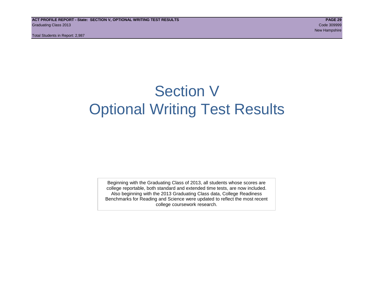## Section V Optional Writing Test Results

Beginning with the Graduating Class of 2013, all students whose scores are college reportable, both standard and extended time tests, are now included. Also beginning with the 2013 Graduating Class data, College Readiness Benchmarks for Reading and Science were updated to reflect the most recent college coursework research.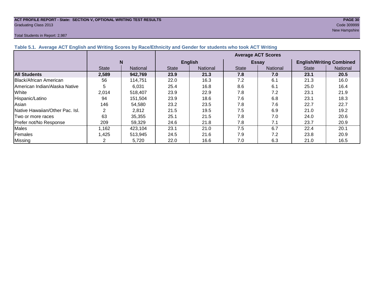## **ACT PROFILE REPORT - State: SECTION V, OPTIONAL WRITING TEST RESULTS PAGE 30** Graduating Class 2013 Code 309999

#### Total Students in Report: 2,987

New Hampshire

| Table 5.1. Average ACT English and Writing Scores by Race/Ethnicity and Gender for students who took ACT Writing |              |          |                           |                |              |                 |                                 |                 |  |  |
|------------------------------------------------------------------------------------------------------------------|--------------|----------|---------------------------|----------------|--------------|-----------------|---------------------------------|-----------------|--|--|
|                                                                                                                  |              |          | <b>Average ACT Scores</b> |                |              |                 |                                 |                 |  |  |
|                                                                                                                  |              | N        |                           | <b>English</b> |              | <b>Essay</b>    | <b>English/Writing Combined</b> |                 |  |  |
|                                                                                                                  | <b>State</b> | National | <b>State</b>              | National       | <b>State</b> | <b>National</b> | <b>State</b>                    | <b>National</b> |  |  |
| <b>All Students</b>                                                                                              | 2,589        | 942,769  | 23.9                      | 21.3           | 7.8          | 7.0             | 23.1                            | 20.5            |  |  |
| Black/African American                                                                                           | 56           | 114,751  | 22.0                      | 16.3           | 7.2          | 6.1             | 21.3                            | 16.0            |  |  |
| American Indian/Alaska Native                                                                                    | 5            | 6.031    | 25.4                      | 16.8           | 8.6          | 6.1             | 25.0                            | 16.4            |  |  |
| White                                                                                                            | 2,014        | 518.407  | 23.9                      | 22.9           | 7.8          | 7.2             | 23.1                            | 21.9            |  |  |
| Hispanic/Latino                                                                                                  | 94           | 151.504  | 23.9                      | 18.6           | 7.6          | 6.8             | 23.1                            | 18.3            |  |  |
| Asian                                                                                                            | 146          | 54,580   | 23.2                      | 23.5           | 7.8          | 7.6             | 22.7                            | 22.7            |  |  |
| Native Hawaiian/Other Pac. Isl.                                                                                  |              | 2,812    | 21.5                      | 19.5           | 7.5          | 6.9             | 21.0                            | 19.2            |  |  |
| Two or more races                                                                                                | 63           | 35,355   | 25.1                      | 21.5           | 7.8          | 7.0             | 24.0                            | 20.6            |  |  |
| Prefer not/No Response                                                                                           | 209          | 59,329   | 24.6                      | 21.8           | 7.8          | 7.1             | 23.7                            | 20.9            |  |  |
| Males                                                                                                            | 1,162        | 423,104  | 23.1                      | 21.0           | 7.5          | 6.7             | 22.4                            | 20.1            |  |  |
| Females                                                                                                          | 1,425        | 513.945  | 24.5                      | 21.6           | 7.9          | 7.2             | 23.8                            | 20.9            |  |  |
| Missing                                                                                                          | 2            | 5,720    | 22.0                      | 16.6           | 7.0          | 6.3             | 21.0                            | 16.5            |  |  |